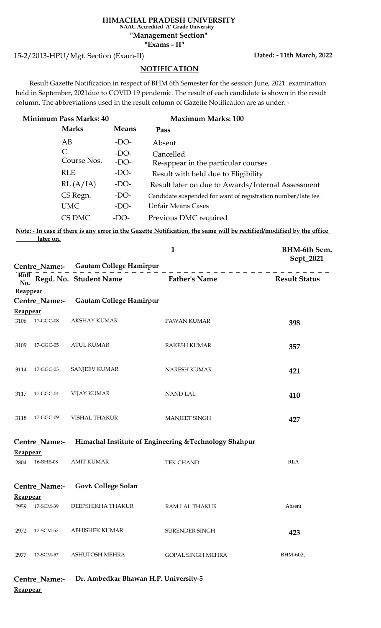## **HIMACHAL PRADESH UNIVERSITY "Exams - II" "Management Section" NAAC Accredited 'A' Grade University**

15-2/2013-HPU/Mgt. Section (Exam-II)

**Dated: - 11th March, 2022**

## **NOTIFICATION**

 Result Gazette Notification in respect of BHM 6th Semester for the session June, 2021 examination held in September, 2021due to COVID 19 pendemic. The result of each candidate is shown in the result column. The abbreviations used in the result column of Gazette Notification are as under: -

| <b>Minimum Pass Marks: 40</b> | <b>Maximum Marks: 100</b> |                                                               |
|-------------------------------|---------------------------|---------------------------------------------------------------|
| <b>Marks</b>                  | <b>Means</b>              | Pass                                                          |
| AB                            | $-DO-$                    | Absent                                                        |
| C                             | $-DO-$                    | Cancelled                                                     |
| Course Nos.                   | $-DO-$                    | Re-appear in the particular courses                           |
| <b>RLE</b>                    | $-DO-$                    | Result with held due to Eligibility                           |
| RL(A/IA)                      | $-DO-$                    | Result later on due to Awards/Internal Assessment             |
| CS Regn.                      | $-DO-$                    | Candidate suspended for want of registration number/late fee. |
| <b>UMC</b>                    | $-DO-$                    | <b>Unfair Means Cases</b>                                     |
| CS DMC                        | $-DO-$                    | Previous DMC required                                         |

**Note: - In case if there is any error in the Gazette Notification, the same will be rectified/modified by the office later on.**

|                         |                      |                                       | $\mathbf{1}$                                                                                                                                                                                                                                    | <b>BHM-6th Sem.</b><br>Sept_2021 |  |
|-------------------------|----------------------|---------------------------------------|-------------------------------------------------------------------------------------------------------------------------------------------------------------------------------------------------------------------------------------------------|----------------------------------|--|
|                         |                      |                                       | <b>Foll</b> $\overline{R}$ Regd. No. Student Name<br>$\overline{R}$ $\overline{R}$ Result Status<br>$\overline{R}$ $\overline{R}$ Result Status<br>$\overline{R}$ Result Status<br>$\overline{R}$ Result Status<br>$\overline{R}$ Result Status |                                  |  |
| <b>Reappear</b>         |                      | Centre_Name:- Gautam College Hamirpur |                                                                                                                                                                                                                                                 |                                  |  |
| Reappear                |                      |                                       |                                                                                                                                                                                                                                                 |                                  |  |
| 3106                    | 17-GGC-08            | <b>AKSHAY KUMAR</b>                   | PAWAN KUMAR                                                                                                                                                                                                                                     | 398                              |  |
| 3109                    | 17-GGC-05            | <b>ATUL KUMAR</b>                     | <b>RAKESH KUMAR</b>                                                                                                                                                                                                                             | 357                              |  |
| 3114                    | 17-GGC-03            | SANJEEV KUMAR                         | NARESH KUMAR                                                                                                                                                                                                                                    | 421                              |  |
| 3117                    | 17-GGC-04            | <b>VIJAY KUMAR</b>                    | <b>NAND LAL</b>                                                                                                                                                                                                                                 | 410                              |  |
| 3118                    | 17-GGC-09            | <b>VISHAL THAKUR</b>                  | <b>MANJEET SINGH</b>                                                                                                                                                                                                                            | 427                              |  |
|                         | Centre_Name:-        |                                       | Himachal Institute of Engineering & Technology Shahpur                                                                                                                                                                                          |                                  |  |
| <u>Reappear</u><br>2804 | 16-BHE-08            | <b>AMIT KUMAR</b>                     | <b>TEK CHAND</b>                                                                                                                                                                                                                                | <b>RLA</b>                       |  |
|                         |                      |                                       |                                                                                                                                                                                                                                                 |                                  |  |
|                         | <b>Centre_Name:-</b> | Govt. College Solan                   |                                                                                                                                                                                                                                                 |                                  |  |
| Reappear                |                      |                                       |                                                                                                                                                                                                                                                 |                                  |  |
| 2959                    | 17-SCM-39            | DEEPSHIKHA THAKUR                     | RAM LAL THAKUR                                                                                                                                                                                                                                  | Absent                           |  |
| 2972                    | 17-SCM-52            | <b>ABHISHEK KUMAR</b>                 | SURENDER SINGH                                                                                                                                                                                                                                  | 423                              |  |
| 2977                    | 17-SCM-57            | ASHUTOSH MEHRA                        | <b>GOPAL SINGH MEHRA</b>                                                                                                                                                                                                                        | BHM-602,                         |  |
|                         | <b>Centre Name:-</b> | Dr. Ambedkar Bhawan H.P. University-5 |                                                                                                                                                                                                                                                 |                                  |  |

**Reappear**